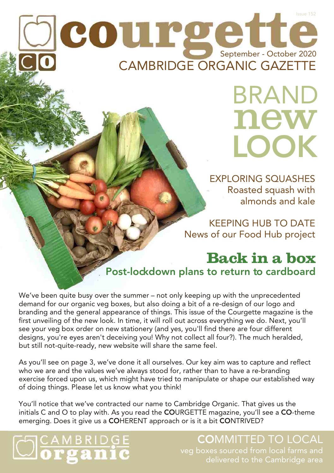# CAMBRIDGE ORGANIC GAZETTE September - October 2020 Issue 152

BRAND new LOOK

EXPLORING SQUASHES Roasted squash with almonds and kale

KEEPING HUB TO DATE News of our Food Hub project

#### **Back in a box** Post-lockdown plans to return to cardboard

We've been quite busy over the summer – not only keeping up with the unprecedented demand for our organic veg boxes, but also doing a bit of a re-design of our logo and branding and the general appearance of things. This issue of the Courgette magazine is the first unveiling of the new look. In time, it will roll out across everything we do. Next, you'll see your veg box order on new stationery (and yes, you'll find there are four different designs, you're eyes aren't deceiving you! Why not collect all four?). The much heralded, but still not-quite-ready, new website will share the same feel.

As you'll see on page 3, we've done it all ourselves. Our key aim was to capture and reflect who we are and the values we've always stood for, rather than to have a re-branding exercise forced upon us, which might have tried to manipulate or shape our established way of doing things. Please let us know what you think!

You'll notice that we've contracted our name to Cambridge Organic. That gives us the initials C and O to play with. As you read the COURGETTE magazine, you'll see a CO-theme emerging. Does it give us a COHERENT approach or is it a bit CONTRIVED?

# **S**CAMBRIDGE

### COMMITTED TO LOCAL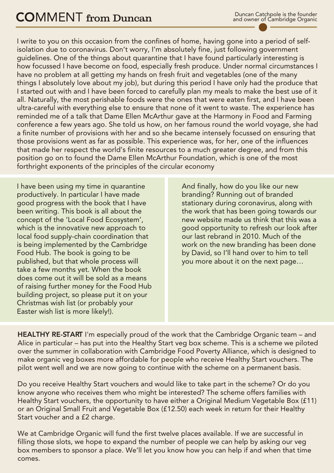I write to you on this occasion from the confines of home, having gone into a period of selfisolation due to coronavirus. Don't worry, I'm absolutely fine, just following government guidelines. One of the things about quarantine that I have found particularly interesting is how focussed I have become on food, especially fresh produce. Under normal circumstances I have no problem at all getting my hands on fresh fruit and vegetables (one of the many things I absolutely love about my job), but during this period I have only had the produce that I started out with and I have been forced to carefully plan my meals to make the best use of it all. Naturally, the most perishable foods were the ones that were eaten first, and I have been ultra-careful with everything else to ensure that none of it went to waste. The experience has reminded me of a talk that Dame Ellen McArthur gave at the Harmony in Food and Farming conference a few years ago. She told us how, on her famous round the world voyage, she had a finite number of provisions with her and so she became intensely focussed on ensuring that those provisions went as far as possible. This experience was, for her, one of the influences that made her respect the world's finite resources to a much greater degree, and from this position go on to found the Dame Ellen McArthur Foundation, which is one of the most forthright exponents of the principles of the circular economy

I have been using my time in quarantine And finally, how do you like our new productively. In particular I have made branding? Running out of branded good progress with the book that I have stationary during coronavirus, along with been writing. This book is all about the the work that has been going towards our concept of the 'Local Food Ecosystem', new website made us think that this was a local food supply-chain coordination that<br>is being implemented by the Cambridge is being implemented by the Cambridge work on the new branding has been done<br>Food Hub. The book is going to be by David. so I'll hand over to him to tell Food Hub. The book is going to be held by David, so I'll hand over to him to tell<br>published, but that whole process will by David, so I'll hand over to him to tell take a few months yet. When the book does come out it will be sold as a means of raising further money for the Food Hub building project, so please put it on your Christmas wish list (or probably your Easter wish list is more likely!).

which is the innovative new approach to good opportunity to refresh our look after<br>local food supply-chain coordination that our last rebrand in 2010. Much of the you more about it on the next page...

HEALTHY RE-START I'm especially proud of the work that the Cambridge Organic team – and Alice in particular – has put into the Healthy Start veg box scheme. This is a scheme we piloted over the summer in collaboration with Cambridge Food Poverty Alliance, which is designed to make organic veg boxes more affordable for people who receive Healthy Start vouchers. The pilot went well and we are now going to continue with the scheme on a permanent basis.

Do you receive Healthy Start vouchers and would like to take part in the scheme? Or do you know anyone who receives them who might be interested? The scheme offers families with Healthy Start vouchers, the opportunity to have either a Original Medium Vegetable Box (£11) or an Original Small Fruit and Vegetable Box (£12.50) each week in return for their Healthy Start voucher and a £2 charge.

We at Cambridge Organic will fund the first twelve places available. If we are successful in filling those slots, we hope to expand the number of people we can help by asking our veg box members to sponsor a place. We'll let you know how you can help if and when that time comes.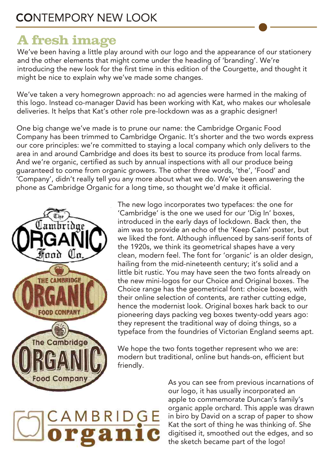### **A fresh image**

We've been having a little play around with our logo and the appearance of our stationery and the other elements that might come under the heading of 'branding'. We're introducing the new look for the first time in this edition of the Courgette, and thought it might be nice to explain why we've made some changes.

We've taken a very homegrown approach: no ad agencies were harmed in the making of this logo. Instead co-manager David has been working with Kat, who makes our wholesale deliveries. It helps that Kat's other role pre-lockdown was as a graphic designer!

One big change we've made is to prune our name: the Cambridge Organic Food Company has been trimmed to Cambridge Organic. It's shorter and the two words express our core principles: we're committed to staying a local company which only delivers to the area in and around Cambridge and does its best to source its produce from local farms. And we're organic, certified as such by annual inspections with all our produce being guaranteed to come from organic growers. The other three words, 'the', 'Food' and 'Company', didn't really tell you any more about what we do. We've been answering the phone as Cambridge Organic for a long time, so thought we'd make it official.



The new logo incorporates two typefaces: the one for 'Cambridge' is the one we used for our 'Dig In' boxes, introduced in the early days of lockdown. Back then, the aim was to provide an echo of the 'Keep Calm' poster, but we liked the font. Although influenced by sans-serif fonts of the 1920s, we think its geometrical shapes have a very clean, modern feel. The font for 'organic' is an older design, hailing from the mid-nineteenth century; it's solid and a little bit rustic. You may have seen the two fonts already on the new mini-logos for our Choice and Original boxes. The Choice range has the geometrical font: choice boxes, with their online selection of contents, are rather cutting edge, hence the modernist look. Original boxes hark back to our pioneering days packing veg boxes twenty-odd years ago: they represent the traditional way of doing things, so a typeface from the foundries of Victorian England seems apt.

We hope the two fonts together represent who we are: modern but traditional, online but hands-on, efficient but friendly.

## CAMBRIDGE rgan

As you can see from previous incarnations of our logo, it has usually incorporated an apple to commemorate Duncan's family's organic apple orchard. This apple was drawn in biro by David on a scrap of paper to show Kat the sort of thing he was thinking of. She digitised it, smoothed out the edges, and so the sketch became part of the logo!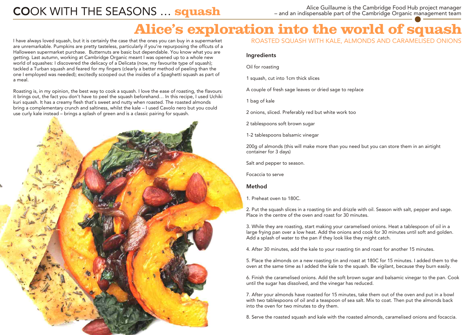## Alice Guillaume is the Cambridge Food Hub project manager<br>Alice Guillaume is the Cambridge Food Hub project manager<br>Alice Guillaume is the Cambridge Organic management team

– and an indispensable part of the Cambridge Organic management team

## **Alice's exploration into the world of squash**

I have always loved squash, but it is certainly the case that the ones you can buy in a supermarket are unremarkable. Pumpkins are pretty tasteless, particularly if you're repurposing the offcuts of a Halloween supermarket purchase. Butternuts are basic but dependable. You know what you are getting. Last autumn, working at Cambridge Organic meant I was opened up to a whole new world of squashes: I discovered the delicacy of a Delicata (now, my favourite type of squash); tackled a Turban squash and feared for my fingers (clearly a better method of peeling than the one I employed was needed); excitedly scooped out the insides of a Spaghetti squash as part of a meal.

Roasting is, in my opinion, the best way to cook a squash. I love the ease of roasting, the flavours it brings out, the fact you don't have to peel the squash beforehand… In this recipe, I used Uchiki kuri squash. It has a creamy flesh that's sweet and nutty when roasted. The roasted almonds bring a complementary crunch and saltiness, whilst the kale – I used Cavolo nero but you could use curly kale instead – brings a splash of green and is a classic pairing for squash.



ROASTED SQUASH WITH KALE, ALMONDS AND CARAMELISED ONIONS

#### Ingredients

Oil for roasting

1 squash, cut into 1cm thick slices

A couple of fresh sage leaves or dried sage to replace

1 bag of kale

2 onions, sliced. Preferably red but white work too

2 tablespoons soft brown sugar

1-2 tablespoons balsamic vinegar

200g of almonds (this will make more than you need but you can store them in an airtight container for 3 days)

Salt and pepper to season.

Focaccia to serve

#### Method

1. Preheat oven to 180C.

2. Put the squash slices in a roasting tin and drizzle with oil. Season with salt, pepper and sage. Place in the centre of the oven and roast for 30 minutes.

3. While they are roasting, start making your caramelised onions. Heat a tablespoon of oil in a large frying pan over a low heat. Add the onions and cook for 30 minutes until soft and golden. Add a splash of water to the pan if they look like they might catch.

4. After 30 minutes, add the kale to your roasting tin and roast for another 15 minutes.

5. Place the almonds on a new roasting tin and roast at 180C for 15 minutes. I added them to the oven at the same time as I added the kale to the squash. Be vigilant, because they burn easily.

6. Finish the caramelised onions. Add the soft brown sugar and balsamic vinegar to the pan. Cook until the sugar has dissolved, and the vinegar has reduced.

7. After your almonds have roasted for 15 minutes, take them out of the oven and put in a bowl with two tablespoons of oil and a teaspoon of sea salt. Mix to coat. Then put the almonds back into the oven for two minutes to dry them.

8. Serve the roasted squash and kale with the roasted almonds, caramelised onions and focaccia.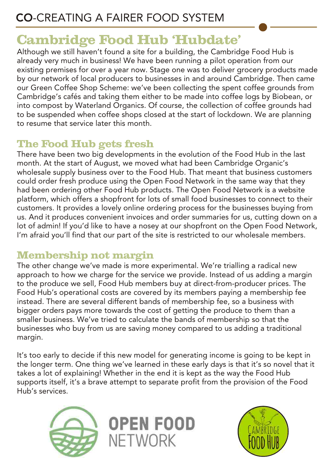### **Cambridge Food Hub 'Hubdate'**

Although we still haven't found a site for a building, the Cambridge Food Hub is already very much in business! We have been running a pilot operation from our existing premises for over a year now. Stage one was to deliver grocery products made by our network of local producers to businesses in and around Cambridge. Then came our Green Coffee Shop Scheme: we've been collecting the spent coffee grounds from Cambridge's cafés and taking them either to be made into coffee logs by Biobean, or into compost by Waterland Organics. Of course, the collection of coffee grounds had to be suspended when coffee shops closed at the start of lockdown. We are planning to resume that service later this month.

#### **The Food Hub gets fresh**

There have been two big developments in the evolution of the Food Hub in the last month. At the start of August, we moved what had been Cambridge Organic's wholesale supply business over to the Food Hub. That meant that business customers could order fresh produce using the Open Food Network in the same way that they had been ordering other Food Hub products. The Open Food Network is a website platform, which offers a shopfront for lots of small food businesses to connect to their customers. It provides a lovely online ordering process for the businesses buying from us. And it produces convenient invoices and order summaries for us, cutting down on a lot of admin! If you'd like to have a nosey at our shopfront on the Open Food Network, I'm afraid you'll find that our part of the site is restricted to our wholesale members.

#### **Membership not margin**

The other change we've made is more experimental. We're trialling a radical new approach to how we charge for the service we provide. Instead of us adding a margin to the produce we sell, Food Hub members buy at direct-from-producer prices. The Food Hub's operational costs are covered by its members paying a membership fee instead. There are several different bands of membership fee, so a business with bigger orders pays more towards the cost of getting the produce to them than a smaller business. We've tried to calculate the bands of membership so that the businesses who buy from us are saving money compared to us adding a traditional margin.

It's too early to decide if this new model for generating income is going to be kept in the longer term. One thing we've learned in these early days is that it's so novel that it takes a lot of explaining! Whether in the end it is kept as the way the Food Hub supports itself, it's a brave attempt to separate profit from the provision of the Food Hub's services.



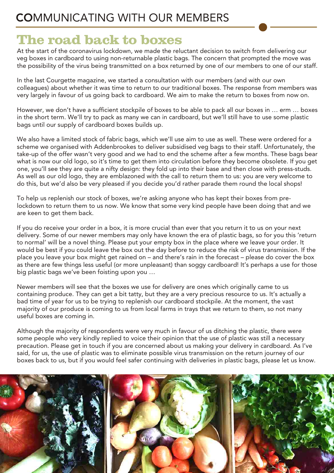#### COMMUNICATING WITH OUR MEMBERS

#### **The road back to boxes**

At the start of the coronavirus lockdown, we made the reluctant decision to switch from delivering our veg boxes in cardboard to using non-returnable plastic bags. The concern that prompted the move was the possibility of the virus being transmitted on a box returned by one of our members to one of our staff.

In the last Courgette magazine, we started a consultation with our members (and with our own colleagues) about whether it was time to return to our traditional boxes. The response from members was very largely in favour of us going back to cardboard. We aim to make the return to boxes from now on.

However, we don't have a sufficient stockpile of boxes to be able to pack all our boxes in … erm … boxes in the short term. We'll try to pack as many we can in cardboard, but we'll still have to use some plastic bags until our supply of cardboard boxes builds up.

We also have a limited stock of fabric bags, which we'll use aim to use as well. These were ordered for a scheme we organised with Addenbrookes to deliver subsidised veg bags to their staff. Unfortunately, the take-up of the offer wasn't very good and we had to end the scheme after a few months. These bags bear what is now our old logo, so it's time to get them into circulation before they become obsolete. If you get one, you'll see they are quite a nifty design: they fold up into their base and then close with press-studs. As well as our old logo, they are emblazoned with the call to return them to us: you are very welcome to do this, but we'd also be very pleased if you decide you'd rather parade them round the local shops!

To help us replenish our stock of boxes, we're asking anyone who has kept their boxes from prelockdown to return them to us now. We know that some very kind people have been doing that and we are keen to get them back.

If you do receive your order in a box, it is more crucial than ever that you return it to us on your next delivery. Some of our newer members may only have known the era of plastic bags, so for you this 'return to normal' will be a novel thing. Please put your empty box in the place where we leave your order. It would be best if you could leave the box out the day before to reduce the risk of virus transmission. If the place you leave your box might get rained on – and there's rain in the forecast – please do cover the box as there are few things less useful (or more unpleasant) than soggy cardboard! It's perhaps a use for those big plastic bags we've been foisting upon you …

Newer members will see that the boxes we use for delivery are ones which originally came to us containing produce. They can get a bit tatty, but they are a very precious resource to us. It's actually a bad time of year for us to be trying to replenish our cardboard stockpile. At the moment, the vast majority of our produce is coming to us from local farms in trays that we return to them, so not many useful boxes are coming in.

Although the majority of respondents were very much in favour of us ditching the plastic, there were some people who very kindly replied to voice their opinion that the use of plastic was still a necessary precaution. Please get in touch if you are concerned about us making your delivery in cardboard. As I've said, for us, the use of plastic was to eliminate possible virus transmission on the return journey of our boxes back to us, but if you would feel safer continuing with deliveries in plastic bags, please let us know.